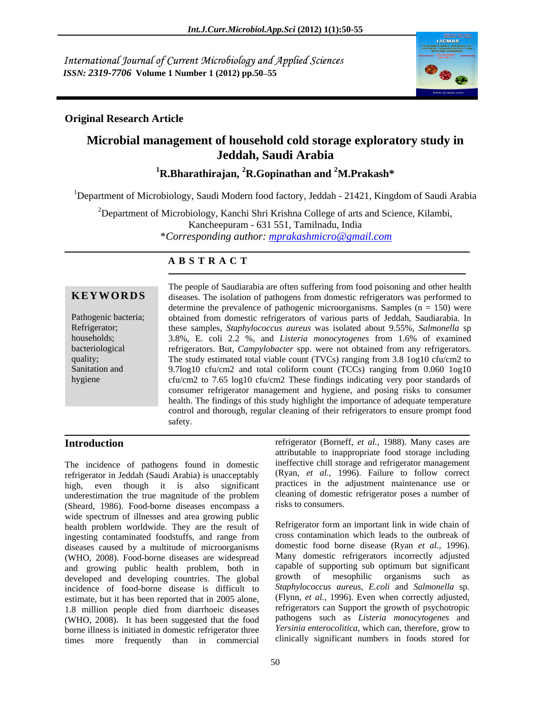International Journal of Current Microbiology and Applied Sciences *ISSN: 2319-7706* **Volume 1 Number 1 (2012) pp.50 55**



## **Original Research Article**

# **Microbial management of household cold storage exploratory study in Jeddah, Saudi Arabia**

**1R.Bharathirajan, 2R.Gopinathan and 2M.Prakash\***

<sup>1</sup>Department of Microbiology, Saudi Modern food factory, Jeddah - 21421, Kingdom of Saudi Arabia

<sup>2</sup>Department of Microbiology, Kanchi Shri Krishna College of arts and Science, Kilambi, Kancheepuram - 631 551, Tamilnadu, India \**Corresponding author: mprakashmicro@gmail.com*

# **A B S T R A C T**

**KEYWORDS** diseases. The isolation of pathogens from domestic refrigerators was performed to Pathogenic bacteria; obtained from domestic refrigerators of various parts of Jeddah, Saudiarabia. In Refrigerator; these samples, *Staphylococcus aureus* was isolated about 9.55%, *Salmonella* sp households; 3.8%, E. coli 2.2 %, and *Listeria monocytogenes* from 1.6% of examined bacteriological refrigerators. But, *Campylobacter* spp. were not obtained from any refrigerators. quality; The study estimated total viable count (TVCs) ranging from 3.8 1og10 cfu/cm2 to Sanitation and 9.7log10 cfu/cm2 and total coliform count (TCCs) ranging from 0.060 1og10 hygiene cfu/cm2 to 7.65 log10 cfu/cm2 These findings indicating very poor standards of The people of Saudiarabia are often suffering from food poisoning and other health determine the prevalence of pathogenic microorganisms. Samples  $(n = 150)$  were consumer refrigerator management and hygiene, and posing risks to consumer health. The findings of this study highlight the importance of adequate temperature control and thorough, regular cleaning of their refrigerators to ensure prompt food safety.

The incidence of pathogens found in domestic refrigerator in Jeddah (Saudi Arabia) is unacceptably high, even though it is also significant underestimation the true magnitude of the problem cleaning of domestic refrigerator poses a number of (Sheard, 1986). Food-borne diseases encompass a wide spectrum of illnesses and area growing public health problem worldwide. They are the result of ingesting contaminated foodstuffs, and range from diseases caused by a multitude of microorganisms (WHO, 2008). Food-borne diseases are widespread and growing public health problem, both in capable of supporting sub-optimum but significant<br>developed and developing countries. The global growth of mesophilic organisms such as developed and developing countries. The global incidence of food-borne disease is difficult to estimate, but it has been reported that in 2005 alone, 1.8 million people died from diarrhoeic diseases (WHO, 2008). It has been suggested that the food borne illness is initiated in domestic refrigerator three times more frequently than in commercial

**Introduction** refrigerator (Borneff, *et al.*, 1988). Many cases are attributable to inappropriate food storage including ineffective chill storage and refrigerator management (Ryan, *et al.,* 1996). Failure to follow correct practices in the adjustment maintenance use or cleaning of domestic refrigerator poses a number of risks to consumers.

> Refrigerator form an important link in wide chain of cross contamination which leads to the outbreak of domestic food borne disease (Ryan *et al.,* 1996). Many domestic refrigerators incorrectly adjusted capable of supporting sub optimum but significant of mesophilic organisms such *Staphylococcus aureus, E.coli* and *Salmonella* sp*.* (Flynn, *et al.,* 1996). Even when correctly adjusted, refrigerators can Support the growth of psychotropic pathogens such as *Listeria monocytogenes* and *Yersinia enterocolitica,* which can, therefore, grow to clinically significant numbers in foods stored for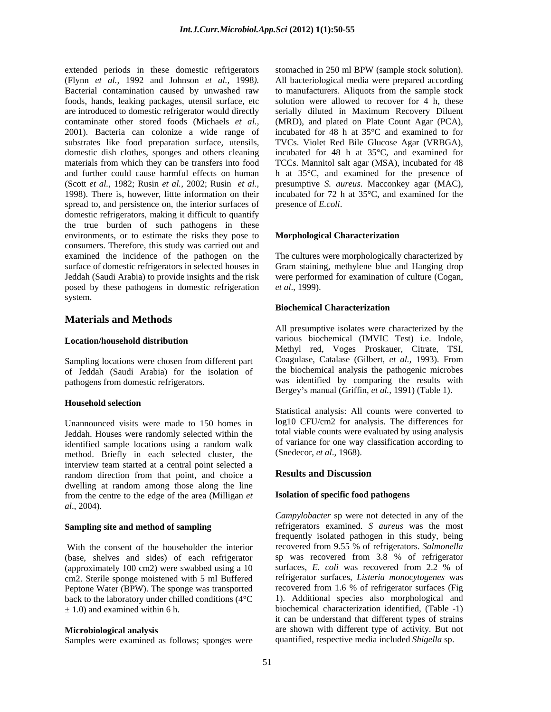extended periods in these domestic refrigerators stomached in 250 ml BPW (sample stock solution). (Flynn *et al.,* 1992 and Johnson *et al.,* 1998*).*  Bacterial contamination caused by unwashed raw foods, hands, leaking packages, utensil surface, etc are introduced to domestic refrigerator would directly serially diluted in Maximum Recovery Diluent contaminate other stored foods (Michaels *et al.,* (MRD), and plated on Plate Count Agar (PCA), 2001). Bacteria can colonize a wide range of substrates like food preparation surface, utensils, domestic dish clothes, sponges and others cleaning materials from which they can be transfers into food TCCs. Mannitol salt agar (MSA), incubated for 48 and further could cause harmful effects on human h at 35°C, and examined for the presence of (Scott *et al.,* 1982; Rusin *et al.,* 2002; Rusin *et al.,*1998). There is, however, littte information on their spread to, and persistence on, the interior surfaces of domestic refrigerators, making it difficult to quantify the true burden of such pathogens in these environments, or to estimate the risks they pose to consumers. Therefore, this study was carried out and examined the incidence of the pathogen on the surface of domestic refrigerators in selected houses in Jeddah (Saudi Arabia) to provide insights and the risk posed by these pathogens in domestic refrigeration *et al.*, 1999). system. The system of the system of the system of the system of the system of the system of the system of the system of the system of the system of the system of the system of the system of the system of the system of the

### **Materials and Methods**

Sampling locations were chosen from different part of Jeddah (Saudi Arabia) for the isolation of pathogens from domestic refrigerators.

### **Household selection**

Unannounced visits were made to 150 homes in Jeddah. Houses were randomly selected within the identified sample locations using a random walk of variance for one way classification according to method. Briefly in each selected cluster, the interview team started at a central point selected a random direction from that point, and choice a dwelling at random among those along the line from the centre to the edge of the area (Milligan *et al*., 2004).

(base, shelves and sides) of each refrigerator (approximately 100 cm2) were swabbed using a 10 surfaces, E. coli was recovered from 2.2 % of cm2. Sterile sponge moistened with 5 ml Buffered Peptone Water (BPW). The sponge was transported

Samples were examined as follows; sponges were

stomached in 250 ml BPW (sample stock solution). All bacteriological media were prepared according to manufacturers. Aliquots from the sample stock solution were allowed to recover for 4 h, these serially diluted in Maximum Recovery Diluent incubated for 48 h at 35°C and examined to for TVCs. Violet Red Bile Glucose Agar (VRBGA), incubated for 48 h at 35°C, and examined for presumptive *S. aureus*. Macconkey agar (MAC), incubated for 72 h at 35°C, and examined for the presence of *E.coli*.

### **Morphological Characterization**

The cultures were morphologically characterized by Gram staining, methylene blue and Hanging drop were performed for examination of culture (Cogan, *et al*., 1999).

### **Biochemical Characterization**

**Location/household distribution**  various biochemical (IMVIC Test) i.e. Indole, All presumptive isolates were characterized by the Methyl red, Voges Proskauer, Citrate, TSI, Coagulase, Catalase (Gilbert, *et al.,* 1993). From the biochemical analysis the pathogenic microbes was identified by comparing the results with Bergey's manual (Griffin, *et al.*, 1991) (Table 1).

> Statistical analysis: All counts were converted to log10 CFU/cm2 for analysis. The differences for total viable counts were evaluated by using analysis of variance for one way classification according to (Snedecor, *et al*., 1968).

### **Results and Discussion**

### **Isolation of specific food pathogens**

**Sampling site and method of sampling** refrigerators examined. *S aureus* was the most With the consent of the householder the interior recovered from 9.55 % of refrigerators. *Salmonella* back to the laboratory under chilled conditions (4°C  $\qquad 1$ ). Additional species also morphological and ± 1.0) and examined within 6 h. biochemical characterization identified, (Table -1) **Microbiological analysis** are shown with different type of activity. But not *Campylobacter* sp were not detected in any of the frequently isolated pathogen in this study, being sp was recovered from 3.8 % of refrigerator surfaces, *E. coli* was recovered from 2.2 % of refrigerator surfaces, *Listeria monocytogenes* was recovered from 1.6 % of refrigerator surfaces (Fig it can be understand that different types of strains quantified, respective media included *Shigella* sp.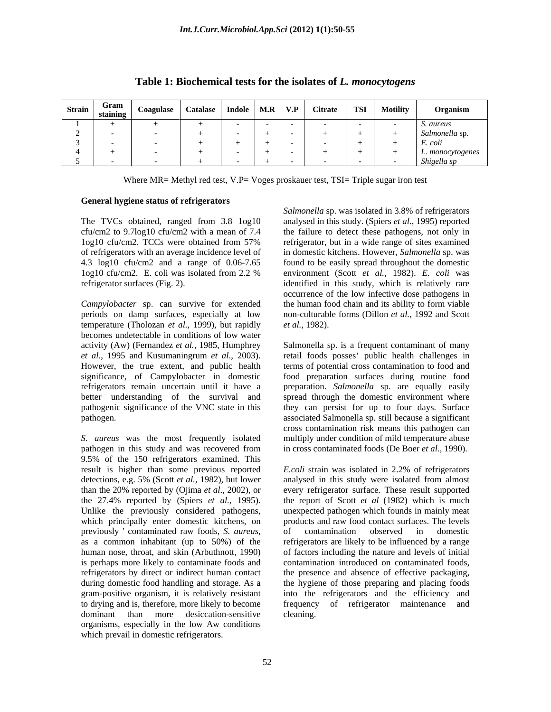|  | Strain Gram Coagulase Catalase Indole M.R V.P Citrate TSI Motility |  |  | Organism                               |
|--|--------------------------------------------------------------------|--|--|----------------------------------------|
|  |                                                                    |  |  |                                        |
|  |                                                                    |  |  |                                        |
|  |                                                                    |  |  |                                        |
|  |                                                                    |  |  | S. aureus<br>Salmonella sp.<br>E. coli |
|  |                                                                    |  |  | monocytogenes                          |
|  |                                                                    |  |  |                                        |

### **Table 1: Biochemical tests for the isolates of** *L. monocytogens*

Where MR= Methyl red test, V.P= Voges proskauer test, TSI= Triple sugar iron test

### **General hygiene status of refrigerators**

The TVCs obtained, ranged from 3.8 1og10

periods on damp surfaces, especially at low temperature (Tholozan *et al.,* 1999), but rapidly becomes undetectable in conditions of low water

9.5% of the 150 refrigerators examined. This result is higher than some previous reported Ecoli strain was isolated in 2.2% of refrigerators detections, e.g. 5% (Scott *et al.,* 1982), but lower which principally enter domestic kitchens, on organisms, especially in the low Aw conditions which prevail in domestic refrigerators.

cfu/cm2 to 9.7log10 cfu/cm2 with amean of 7.4 the failure to detect these pathogens, not only in 1og10 cfu/cm2. TCCs were obtained from 57% of refrigerators with an average incidence level of in domestic kitchens. However, *Salmonella* sp. was 4.3 log10 cfu/cm2 and a range of 0.06-7.65 found to be easily spread throughout the domestic 1og10 cfu/cm2. E. coli was isolated from 2.2 % environment (Scott *et al.*, 1982). E. coli was refrigerator surfaces (Fig. 2). identified in this study, which is relatively rare *Campylobacter* sp. can survive for extended the human food chain and its ability to form viable *Salmonella* sp. was isolated in 3.8% of refrigerators analysed in this study. (Spiers *et al*., 1995) reported refrigerator, but in a wide range of sites examined environment (Scott *et al.,* 1982). *E. coli* was occurrence of the low infective dose pathogens in the human food chain and its ability to form viable non-culturable forms (Dillon *et al.,* 1992 and Scott *et al.,* 1982).

activity (Aw) (Fernandez *et al.,* 1985, Humphrey Salmonella sp. is a frequent contaminant of many *et al*., 1995 and Kusumaningrum *et al*., 2003). retail foods posses public health challenges in However, the true extent, and public health terms of potential cross contamination to food and significance, of Campylobacter in domestic food preparation surfaces during routine food refrigerators remain uncertain until it have a preparation. *Salmonella* sp. are equally easily better understanding of the survival and spread through the domestic environment where pathogenic significance of the VNC state in this they can persist for up to four days. Surface pathogen. associated Salmonella sp. still becausea significant *S. aureus* was the most frequently isolated multiply under condition of mild temperature abuse pathogen in this study and was recovered from in cross contaminated foods (De Boer *et al.,* 1990). cross contamination risk means this pathogen can

than the 20% reported by (Ojima *et al*., 2002), or every refrigerator surface. Theseresult supported the 27.4% reported by (Spiers *et al.,* 1995). the report of Scott *et al* (1982) which is much Unlike the previously considered pathogens, unexpected pathogen which founds in mainly meat previously contaminated raw foods, *S. aureus*, of contamination observed in domestic as a common inhabitant (up to 50%) of the refrigerators are likely to be influenced by a range human nose, throat, and skin (Arbuthnott, 1990) of factors including the nature and levels of initial is perhaps more likely to contaminate foods and contamination introduced on contaminated foods, refrigerators by direct or indirect human contact the presence and absence of effective packaging, during domestic food handling and storage. As a the hygiene of those preparing and placing foods gram-positive organism, it is relatively resistant into the refrigerators and the efficiency and to drying and is, therefore, more likely to become frequency of refrigerator maintenance and dominant than more desiccation-sensitive cleaning. *E.coli* strain was isolated in 2.2% of refrigerators analysed in this study were isolated from almost products and raw food contact surfaces. The levels of contamination observed in domestic refrigerators are likely to be influenced by a range frequency of refrigerator maintenance cleaning.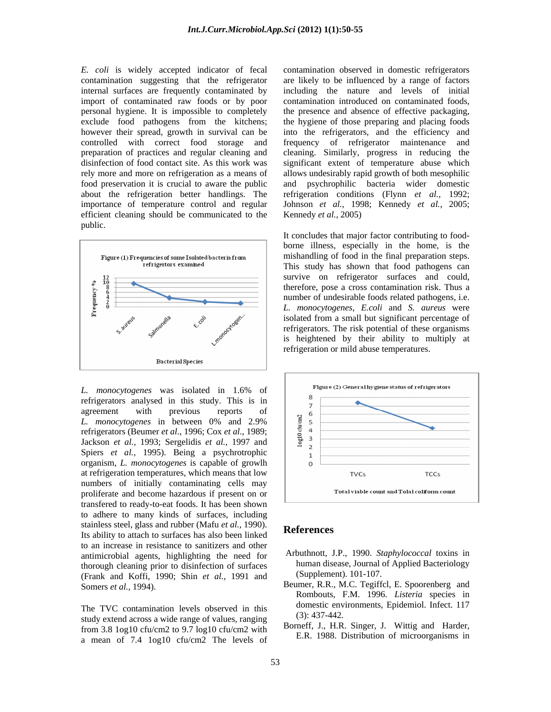personal hygiene. It is impossible to completely exclude food pathogens from the kitchens; efficient cleaning should be communicated to the public. The contract of the contract of the contract of the contract of the contract of the contract of the contract of the contract of the contract of the contract of the contract of the contract of the contract of the co



refrigerators analysed in this study. This is in  $\frac{8}{7}$ *L. monocytogenes* in between 0% and 2.9%<br>refrigerators (Beumer *et al.*, 1996; Cox *et al.*, 1989;<br>Jackson *et al.*, 1993; Sergelidis *et al.*, 1997 and Jackson *et al.,* 1993; Sergelidis *et al.,* 1997 and Spiers *et al.,* 1995). Being a psychrotrophic organism, *L. monocytogenes* is capable of growlh at refrigeration temperatures, which means that low  $TVCS$  TVCs TCCs numbers of initially contaminating cells may<br>numbers and become because if present on an and Total viable count and Total coliform count proliferate and become hazardous if present on or transfered to ready-to-eat foods. It has been shown to adhere to many kinds of surfaces, including stainless steel, glass and rubber (Mafu *et al.*, 1990). **References** Its ability to attach to surfaces has also been linked to an increase in resistance to sanitizers and other antimicrobial agents, highlighting the need for thorough cleaning prior to disinfection of surfaces (Frank and Koffi, 1990; Shin *et al.,* 1991 and

The TVC contamination levels observed in this domestic environment of  $(3)$ : 437-442. study extend across a wide range of values, ranging from 3.8 1og10 cfu/cm2 to 9.7 log10 cfu/cm2 with a mean of 7.4 1og10 cfu/cm2 The levels of

*E. coli* is widely accepted indicator of fecal contamination observed in domestic refrigerators contamination suggesting that the refrigerator are likely to be influenced by a range of factors internal surfaces are frequently contaminated by including the nature and levels of initial import of contaminated raw foods or by poor contamination introduced on contaminated foods, however their spread, growth in survival can be into the refrigerators, and the efficiency and controlled with correct food storage and frequency of refrigerator maintenance and preparation of practices and regular cleaning and cleaning. Similarly, progress in reducing the disinfection of food contact site. As this work was significant extent of temperature abuse which rely more and more on refrigeration as a means of allows undesirably rapid growth of both mesophilic food preservation it is crucial to aware the public and psychrophilic bacteria wider domestic about the refrigeration better handlings. The refrigeration conditions (Flynn *et al.,* 1992; importance of temperature control and regular Johnson *et al.,* 1998; Kennedy *et al.,* 2005; the presence and absence of effective packaging, the hygiene of those preparing and placing foods Kennedy *et al.,* 2005)

> It concludes that major factor contributing to food borne illness, especially in the home, is the mishandling of food in the final preparation steps. This study has shown that food pathogens can survive on refrigerator surfaces and could, therefore, pose a cross contamination risk. Thus a number of undesirable foods related pathogens, i.e. *L. monocytogenes*, *E.coli* and *S. aureus* were isolated from a small but significant percentage of refrigerators. The risk potential of these organisms is heightened by their ability to multiply at refrigeration or mild abuse temperatures.



### **References**

- Arbuthnott, J.P., 1990. *Staphylococcal* toxins in human disease, Journal of Applied Bacteriology (Supplement). 101-107.
- Somers *et al.*, 1994). Beumer, R.R., M.C. Tegiffel, E. Spoorenberg and Rombouts, F.M. 1996. *Listeria* species in domestic environments, Epidemiol. Infect. 117 (3): 437-442.
	- Borneff, J., H.R. Singer, J. Wittig and Harder, E.R. 1988. Distribution of microorganisms in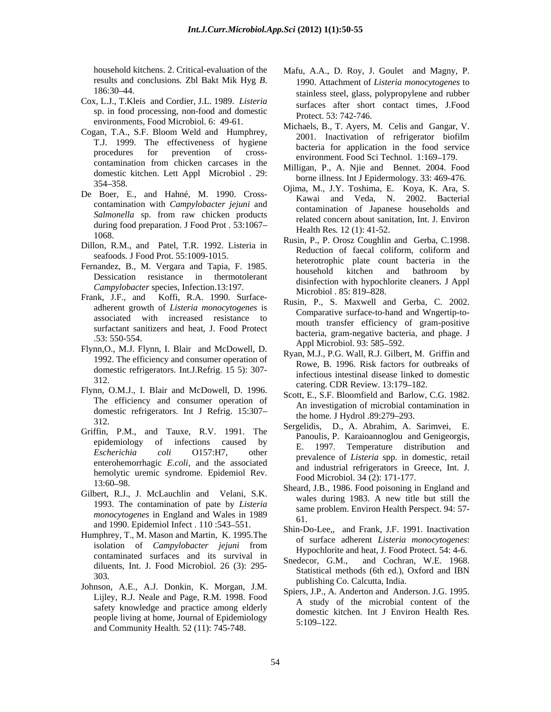- Cox, L.J., T.Kleis and Cordier, J.L. 1989. *Listeria*  sp. in food processing, non-food and domestic environments, Food Microbiol. 6: 49-61.
- T.J. 1999. The effectiveness of hygiene contamination from chicken carcases in the domestic kitchen. Lett Appl Microbiol .29:
- contamination with *Campylobacter jejuni* and during food preparation. J Food Prot . 53:1067
- seafoods*.* J Food Prot. 55:1009-1015.
- *Campylobacter* species, Infection.13:197.<br>Microbiol . 85: 819–828.
- Frank, J.F., and Koffi, R.A. 1990. Surface adherent growth of *Listeria monocytogenes* is associated with increased resistance to surfactant sanitizers and heat, J. Food Protect
- Flynn,O., M.J. Flynn, I. Blair and McDowell, D. 1992. The efficiency and consumer operation of domestic refrigerators. Int.J.Refrig. 15 5): 307-
- Flynn, O.M.J., I. Blair and McDowell, D. 1996. The efficiency and consumer operation of domestic refrigerators. Int J Refrig. 15:307
- enterohemorrhagic *E.coli*, and the associated hemolytic uremic syndrome. Epidemiol Rev.
- Gilbert, R.J., J. McLauchlin and Velani, S.K. 1993. The contamination of pate by *Listeria monocytogenes* in England and Wales in 1989 <sup>san</sup><br>61. and 1990. Epidemiol Infect . 110 :543 551.
- Humphrey, T., M. Mason and Martin, K. 1995.The isolation of *Campylobacter jejuni* from contaminated surfaces and its survival in Snedecor, G.M.,
- Johnson, A.E., A.J. Donkin, K. Morgan, J.M. Lijley, R.J. Neale and Page, R.M. 1998. Food safety knowledge and practice among elderly people living at home, Journal of Epidemiology  $5:109-122$ . and Community Health*.* 52 (11): 745-748.
- household kitchens. 2. Critical-evaluation of the Mafu, A.A., D. Roy, J. Goulet and Magny, P. results and conclusions. *Zbl Bakt Mik Hyg <i>B*. 1990. Attachment of *Listeria monocytogenes* to<br>186:30–44. 186:30–44. 1990. Attachment of *Listeria monocytogenes* to stainless steel, glass, polypropylene and rubber surfaces after short contact times, J.Food Protect. 53: 742-746.
- Cogan, T.A., S.F. Bloom Weld and Humphrey,<br>2001. Inactivation of refrigerator biofilm procedures for prevention of cross-<br>multiplement Eocle Technical 1160.170 Michaels, B., T. Ayers, M. Celis and Gangar, V. 2001. Inactivation of refrigerator biofilm bacteria for application in the food service environment. Food Sci Technol. 1:169-179.
	- Milligan, P., A. Njie and Bennet. 2004. Food borne illness. Int J Epidermology. 33: 469-476.
- 354–358.<br>
254–358. Cjima, M., J.Y. Toshima, E. Koya, K. Ara, S. De Boer, E., and Hahné, M. 1990. Cross-<br>
Kawai and Veda, N. 2002. Bacterial *Salmonella* sp. from raw chicken products<br>colored concern short contribution Intelligence in the contraction of the same of the same of the same of the same of the same of the same of the same of the same of the same of t Ojima, M., J.Y. Toshima, E. Koya, K. Ara, S. Kawai and Veda, N. 2002. Bacterial contamination of Japanese households and related concern about sanitation, Int. J. Environ Health Res*.* 12 (1): 41-52.
- 1068.<br>
Rusin, P., P. Orosz Coughlin and Gerba, C.1998. Dillon, R.M., and Patel, T.R. 1992. Listeria in Reduction of faecal coliform, coliform and Fernandez, B., M. Vergara and Tapia, F. 1985.<br>household kitchen and bathroom by Dessication resistance in thermotolerant  $\frac{1}{2}$  distribution with by  $\frac{1}{2}$  algebra  $\frac{1}{2}$  and  $\frac{1}{2}$ Reduction of faecal coliform, coliform and heterotrophic plate count bacteria in the household kitchen and bathroom by disinfection with hypochlorite cleaners. J Appl Microbiol . 85: 819–828.
	- .53: 550-554.<br>Appl Microbiol. 93: 585–592. Rusin, P., S. Maxwell and Gerba, C. 2002. Comparative surface-to-hand and Wngertip-to mouth transfer efficiency of gram-positive bacteria, gram-negative bacteria, and phage. J Appl Microbiol. 93: 585–592.
	- 312.<br>
	catering. CDR Review. 13:179–182. Ryan, M.J., P.G. Wall, R.J. Gilbert, M. Griffin and Rowe, B. 1996. Risk factors for outbreaks of infectious intestinal disease linked to domestic
		- Scott, E., S.F. Bloomfield and Barlow, C.G. 1982. An investigation of microbial contamination in the home. J Hydrol .89:279-293.
- $312.$  Sergelidis, D., A. Abrahim, A. Sarimvei, E. Griffin, P.M., and Tauxe, R.V. 1991. The Sergelidis, D., A. Abrahim, A. Sarimvei, E.<br>epidemiology of infections caused by T. 1997. Temperature distribution and epidemiology of infections caused by  $\frac{1007}{\pi}$  compositive distribution and *Escherichia coli* O157:H7, other prevalence of *Listeria* spp. in domestic, retail Panoulis, P. Karaioannoglou and Genigeorgis, E. 1997. Temperature distribution and and industrial refrigerators in Greece, Int. J*.* Food Microbiol. 34 (2): 171-177.
	- 13:60–98.<br>
	Sheard, J.B., 1986. Food poisoning in England and wales during 1983. A new title but still the same problem. Environ Health Perspect. 94: 57- 61.
		- Shin-Do-Lee,, and Frank, J.F. 1991. Inactivation of surface adherent *Listeria monocytogenes*: Hypochlorite and heat, J. Food Protect. 54: 4-6.
	- diluents, Int. J. Food Microbiol. 26 (3): 295-<br>Statistical methods (6th ed.), Oxford and IBN 303.<br>
	publishing Co. Calcutta, India.<br>
	publishing Co. Calcutta, India. and Cochran, W.E. 1968. Statistical methods (6th ed.), Oxford and IBN
		- Spiers, J.P., A. Anderton and Anderson. J.G. 1995. A study of the microbial content of the domestic kitchen. Int J Environ Health Res*.*  $5:109-122$ .